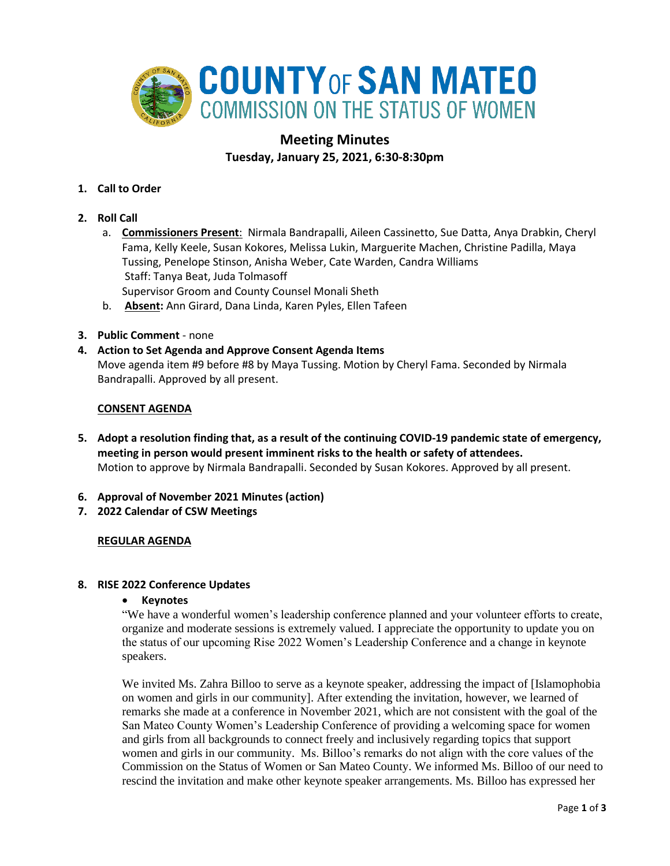

# **Meeting Minutes Tuesday, January 25, 2021, 6:30-8:30pm**

- **1. Call to Order**
- **2. Roll Call**
	- a. **Commissioners Present**: Nirmala Bandrapalli, Aileen Cassinetto, Sue Datta, Anya Drabkin, Cheryl Fama, Kelly Keele, Susan Kokores, Melissa Lukin, Marguerite Machen, Christine Padilla, Maya Tussing, Penelope Stinson, Anisha Weber, Cate Warden, Candra Williams Staff: Tanya Beat, Juda Tolmasoff Supervisor Groom and County Counsel Monali Sheth
	- b. **Absent:** Ann Girard, Dana Linda, Karen Pyles, Ellen Tafeen
- **3. Public Comment** none

### **4. Action to Set Agenda and Approve Consent Agenda Items**

Move agenda item #9 before #8 by Maya Tussing. Motion by Cheryl Fama. Seconded by Nirmala Bandrapalli. Approved by all present.

### **CONSENT AGENDA**

- **5. Adopt a resolution finding that, as a result of the continuing COVID-19 pandemic state of emergency, meeting in person would present imminent risks to the health or safety of attendees.** Motion to approve by Nirmala Bandrapalli. Seconded by Susan Kokores. Approved by all present.
- **6. Approval of November 2021 Minutes (action)**
- **7. 2022 Calendar of CSW Meetings**

### **REGULAR AGENDA**

### **8. RISE 2022 Conference Updates**

### • **Keynotes**

"We have a wonderful women's leadership conference planned and your volunteer efforts to create, organize and moderate sessions is extremely valued. I appreciate the opportunity to update you on the status of our upcoming Rise 2022 Women's Leadership Conference and a change in keynote speakers.

We invited Ms. Zahra Billoo to serve as a keynote speaker, addressing the impact of [Islamophobia on women and girls in our community]. After extending the invitation, however, we learned of remarks she made at a conference in November 2021, which are not consistent with the goal of the San Mateo County Women's Leadership Conference of providing a welcoming space for women and girls from all backgrounds to connect freely and inclusively regarding topics that support women and girls in our community. Ms. Billoo's remarks do not align with the core values of the Commission on the Status of Women or San Mateo County. We informed Ms. Billoo of our need to rescind the invitation and make other keynote speaker arrangements. Ms. Billoo has expressed her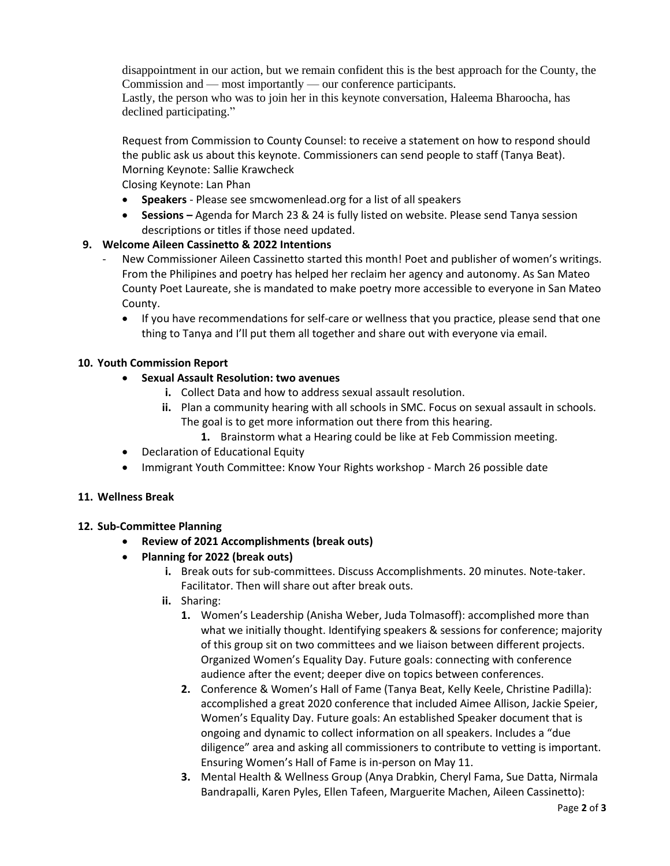disappointment in our action, but we remain confident this is the best approach for the County, the Commission and — most importantly — our conference participants.

Lastly, the person who was to join her in this keynote conversation, Haleema Bharoocha, has declined participating."

Request from Commission to County Counsel: to receive a statement on how to respond should the public ask us about this keynote. Commissioners can send people to staff (Tanya Beat). Morning Keynote: Sallie Krawcheck

Closing Keynote: Lan Phan

- **Speakers** Please see smcwomenlead.org for a list of all speakers
- **Sessions –** Agenda for March 23 & 24 is fully listed on website. Please send Tanya session descriptions or titles if those need updated.

## **9. Welcome Aileen Cassinetto & 2022 Intentions**

- New Commissioner Aileen Cassinetto started this month! Poet and publisher of women's writings. From the Philipines and poetry has helped her reclaim her agency and autonomy. As San Mateo County Poet Laureate, she is mandated to make poetry more accessible to everyone in San Mateo County.
	- If you have recommendations for self-care or wellness that you practice, please send that one thing to Tanya and I'll put them all together and share out with everyone via email.

### **10. Youth Commission Report**

- **Sexual Assault Resolution: two avenues**
	- **i.** Collect Data and how to address sexual assault resolution.
	- **ii.** Plan a community hearing with all schools in SMC. Focus on sexual assault in schools. The goal is to get more information out there from this hearing.
		- **1.** Brainstorm what a Hearing could be like at Feb Commission meeting.
- Declaration of Educational Equity
- Immigrant Youth Committee: Know Your Rights workshop March 26 possible date

### **11. Wellness Break**

### **12. Sub-Committee Planning**

- **Review of 2021 Accomplishments (break outs)**
- **Planning for 2022 (break outs)**
	- **i.** Break outs for sub-committees. Discuss Accomplishments. 20 minutes. Note-taker. Facilitator. Then will share out after break outs.
	- **ii.** Sharing:
		- **1.** Women's Leadership (Anisha Weber, Juda Tolmasoff): accomplished more than what we initially thought. Identifying speakers & sessions for conference; majority of this group sit on two committees and we liaison between different projects. Organized Women's Equality Day. Future goals: connecting with conference audience after the event; deeper dive on topics between conferences.
		- **2.** Conference & Women's Hall of Fame (Tanya Beat, Kelly Keele, Christine Padilla): accomplished a great 2020 conference that included Aimee Allison, Jackie Speier, Women's Equality Day. Future goals: An established Speaker document that is ongoing and dynamic to collect information on all speakers. Includes a "due diligence" area and asking all commissioners to contribute to vetting is important. Ensuring Women's Hall of Fame is in-person on May 11.
		- **3.** Mental Health & Wellness Group (Anya Drabkin, Cheryl Fama, Sue Datta, Nirmala Bandrapalli, Karen Pyles, Ellen Tafeen, Marguerite Machen, Aileen Cassinetto):